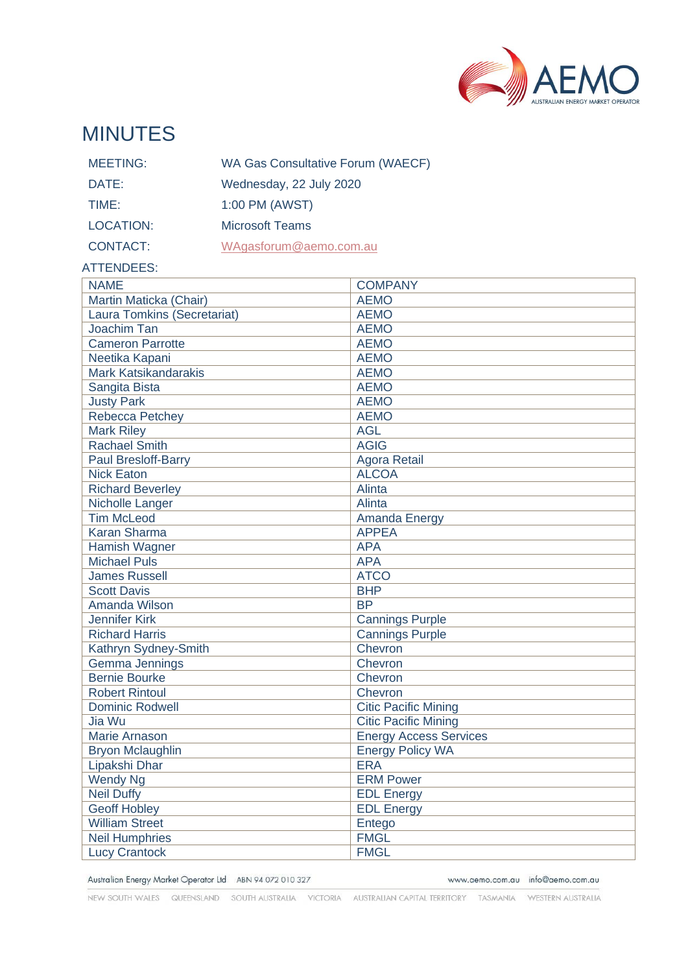

# MINUTES

| <b>MEETING:</b> | WA Gas Consultative Forum (WAECF) |
|-----------------|-----------------------------------|
| DATE:           | Wednesday, 22 July 2020           |
| TIME:           | 1:00 PM (AWST)                    |
| LOCATION:       | <b>Microsoft Teams</b>            |
| <b>CONTACT:</b> | WAgasforum@aemo.com.au            |

#### ATTENDEES:

| <b>NAME</b>                        | <b>COMPANY</b>                |
|------------------------------------|-------------------------------|
| Martin Maticka (Chair)             | <b>AEMO</b>                   |
| <b>Laura Tomkins (Secretariat)</b> | <b>AEMO</b>                   |
| Joachim Tan                        | <b>AEMO</b>                   |
| <b>Cameron Parrotte</b>            | <b>AEMO</b>                   |
| Neetika Kapani                     | <b>AEMO</b>                   |
| <b>Mark Katsikandarakis</b>        | <b>AEMO</b>                   |
| Sangita Bista                      | <b>AEMO</b>                   |
| <b>Justy Park</b>                  | <b>AEMO</b>                   |
| <b>Rebecca Petchey</b>             | <b>AEMO</b>                   |
| <b>Mark Riley</b>                  | <b>AGL</b>                    |
| <b>Rachael Smith</b>               | <b>AGIG</b>                   |
| Paul Bresloff-Barry                | <b>Agora Retail</b>           |
| <b>Nick Eaton</b>                  | <b>ALCOA</b>                  |
| <b>Richard Beverley</b>            | Alinta                        |
| Nicholle Langer                    | Alinta                        |
| <b>Tim McLeod</b>                  | Amanda Energy                 |
| <b>Karan Sharma</b>                | <b>APPEA</b>                  |
| Hamish Wagner                      | <b>APA</b>                    |
| <b>Michael Puls</b>                | <b>APA</b>                    |
| <b>James Russell</b>               | <b>ATCO</b>                   |
| <b>Scott Davis</b>                 | <b>BHP</b>                    |
| Amanda Wilson                      | <b>BP</b>                     |
| <b>Jennifer Kirk</b>               | <b>Cannings Purple</b>        |
| <b>Richard Harris</b>              | <b>Cannings Purple</b>        |
| Kathryn Sydney-Smith               | Chevron                       |
| Gemma Jennings                     | Chevron                       |
| <b>Bernie Bourke</b>               | Chevron                       |
| <b>Robert Rintoul</b>              | Chevron                       |
| <b>Dominic Rodwell</b>             | <b>Citic Pacific Mining</b>   |
| Jia Wu                             | <b>Citic Pacific Mining</b>   |
| <b>Marie Arnason</b>               | <b>Energy Access Services</b> |
| <b>Bryon Mclaughlin</b>            | <b>Energy Policy WA</b>       |
| Lipakshi Dhar                      | <b>ERA</b>                    |
| <b>Wendy Ng</b>                    | <b>ERM Power</b>              |
| <b>Neil Duffy</b>                  | <b>EDL Energy</b>             |
| <b>Geoff Hobley</b>                | <b>EDL Energy</b>             |
| <b>William Street</b>              | Entego                        |
| <b>Neil Humphries</b>              | <b>FMGL</b>                   |
| <b>Lucy Crantock</b>               | <b>FMGL</b>                   |

Australian Energy Market Operator Ltd ABN 94 072 010 327

www.aemo.com.au info@aemo.com.au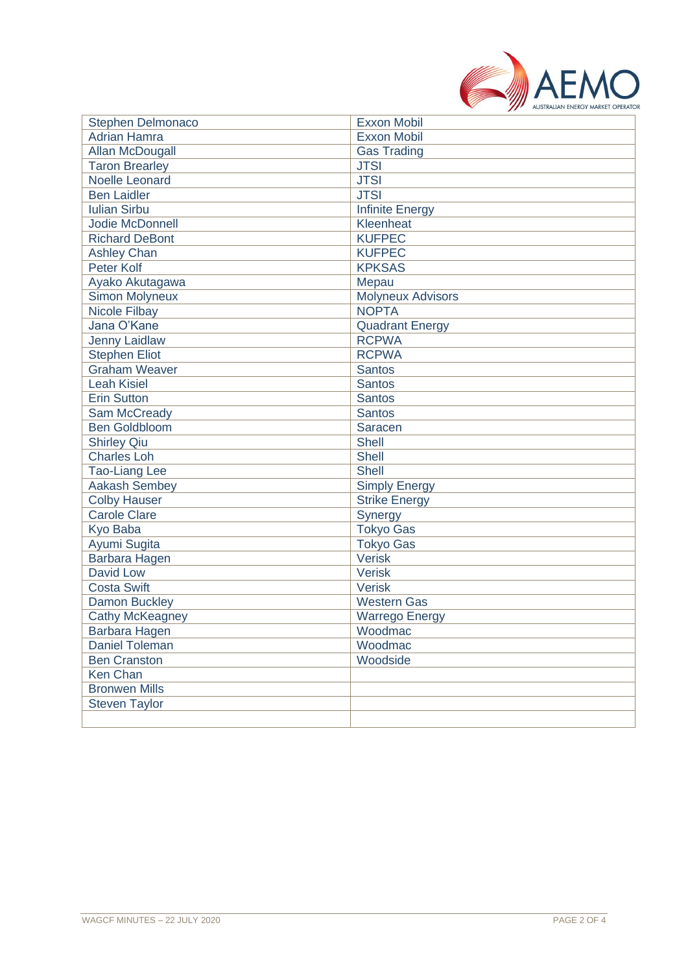

| <b>Stephen Delmonaco</b> | <b>Exxon Mobil</b>       |
|--------------------------|--------------------------|
| <b>Adrian Hamra</b>      | <b>Exxon Mobil</b>       |
| Allan McDougall          | <b>Gas Trading</b>       |
| <b>Taron Brearley</b>    | <b>JTSI</b>              |
| <b>Noelle Leonard</b>    | <b>JTSI</b>              |
| <b>Ben Laidler</b>       | <b>JTSI</b>              |
| <b>Iulian Sirbu</b>      | <b>Infinite Energy</b>   |
| Jodie McDonnell          | Kleenheat                |
| <b>Richard DeBont</b>    | <b>KUFPEC</b>            |
| <b>Ashley Chan</b>       | <b>KUFPEC</b>            |
| <b>Peter Kolf</b>        | <b>KPKSAS</b>            |
| Ayako Akutagawa          | Mepau                    |
| Simon Molyneux           | <b>Molyneux Advisors</b> |
| <b>Nicole Filbay</b>     | <b>NOPTA</b>             |
| Jana O'Kane              | <b>Quadrant Energy</b>   |
| <b>Jenny Laidlaw</b>     | <b>RCPWA</b>             |
| <b>Stephen Eliot</b>     | <b>RCPWA</b>             |
| <b>Graham Weaver</b>     | <b>Santos</b>            |
| <b>Leah Kisiel</b>       | Santos                   |
| <b>Erin Sutton</b>       | <b>Santos</b>            |
| Sam McCready             | Santos                   |
| <b>Ben Goldbloom</b>     | Saracen                  |
| <b>Shirley Qiu</b>       | <b>Shell</b>             |
| <b>Charles Loh</b>       | <b>Shell</b>             |
| <b>Tao-Liang Lee</b>     | <b>Shell</b>             |
| <b>Aakash Sembey</b>     | <b>Simply Energy</b>     |
| <b>Colby Hauser</b>      | <b>Strike Energy</b>     |
| <b>Carole Clare</b>      | Synergy                  |
| Kyo Baba                 | <b>Tokyo Gas</b>         |
| Ayumi Sugita             | <b>Tokyo Gas</b>         |
| Barbara Hagen            | <b>Verisk</b>            |
| <b>David Low</b>         | Verisk                   |
| <b>Costa Swift</b>       | <b>Verisk</b>            |
| <b>Damon Buckley</b>     | <b>Western Gas</b>       |
| <b>Cathy McKeagney</b>   | <b>Warrego Energy</b>    |
| Barbara Hagen            | Woodmac                  |
| Daniel Toleman           | Woodmac                  |
| <b>Ben Cranston</b>      | Woodside                 |
| <b>Ken Chan</b>          |                          |
| <b>Bronwen Mills</b>     |                          |
| <b>Steven Taylor</b>     |                          |
|                          |                          |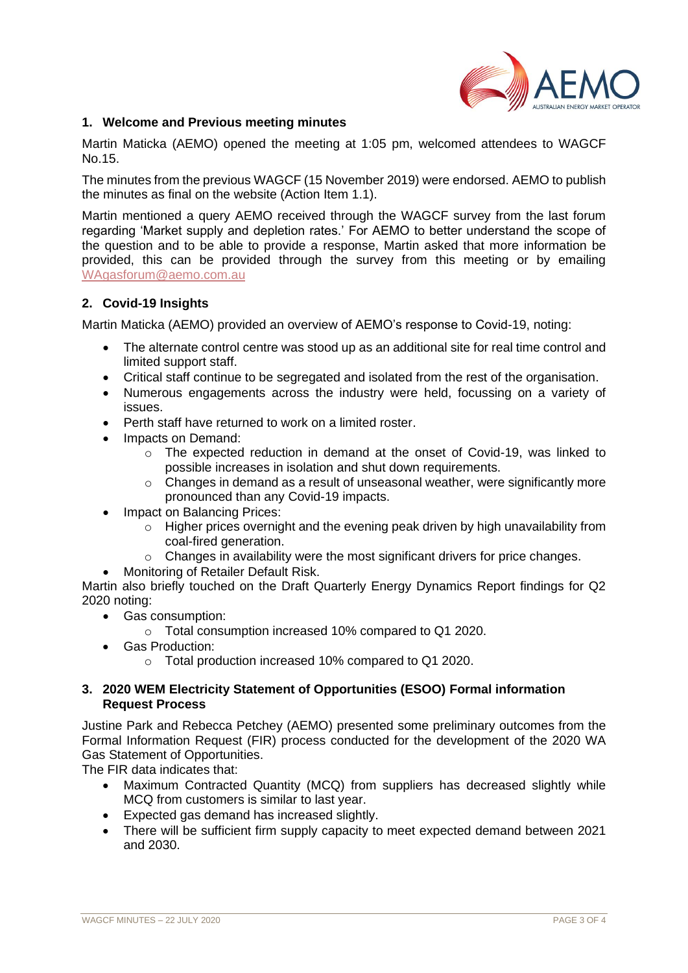

## **1. Welcome and Previous meeting minutes**

Martin Maticka (AEMO) opened the meeting at 1:05 pm, welcomed attendees to WAGCF No.15.

The minutes from the previous WAGCF (15 November 2019) were endorsed. AEMO to publish the minutes as final on the website (Action Item 1.1).

Martin mentioned a query AEMO received through the WAGCF survey from the last forum regarding 'Market supply and depletion rates.' For AEMO to better understand the scope of the question and to be able to provide a response, Martin asked that more information be provided, this can be provided through the survey from this meeting or by emailing [WAgasforum@aemo.com.au](mailto:WAgasforum@aemo.com.au)

### **2. Covid-19 Insights**

Martin Maticka (AEMO) provided an overview of AEMO's response to Covid-19, noting:

- The alternate control centre was stood up as an additional site for real time control and limited support staff.
- Critical staff continue to be segregated and isolated from the rest of the organisation.
- Numerous engagements across the industry were held, focussing on a variety of issues.
- Perth staff have returned to work on a limited roster.
- Impacts on Demand:
	- $\circ$  The expected reduction in demand at the onset of Covid-19, was linked to possible increases in isolation and shut down requirements.
	- o Changes in demand as a result of unseasonal weather, were significantly more pronounced than any Covid-19 impacts.
- Impact on Balancing Prices:
	- $\circ$  Higher prices overnight and the evening peak driven by high unavailability from coal-fired generation.
	- $\circ$  Changes in availability were the most significant drivers for price changes.
- Monitoring of Retailer Default Risk.

Martin also briefly touched on the Draft Quarterly Energy Dynamics Report findings for Q2 2020 noting:

- Gas consumption:
	- o Total consumption increased 10% compared to Q1 2020.
- Gas Production:
	- o Total production increased 10% compared to Q1 2020.

## **3. 2020 WEM Electricity Statement of Opportunities (ESOO) Formal information Request Process**

Justine Park and Rebecca Petchey (AEMO) presented some preliminary outcomes from the Formal Information Request (FIR) process conducted for the development of the 2020 WA Gas Statement of Opportunities.

The FIR data indicates that:

- Maximum Contracted Quantity (MCQ) from suppliers has decreased slightly while MCQ from customers is similar to last year.
- Expected gas demand has increased slightly.
- There will be sufficient firm supply capacity to meet expected demand between 2021 and 2030.